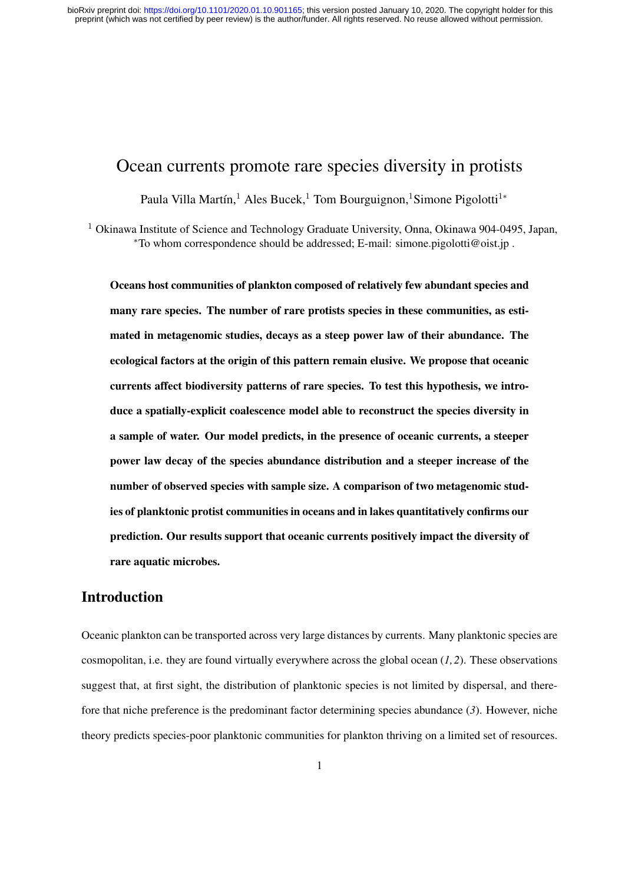# Ocean currents promote rare species diversity in protists

Paula Villa Martín,<sup>1</sup> Ales Bucek,<sup>1</sup> Tom Bourguignon,<sup>1</sup>Simone Pigolotti<sup>1</sup><sup>\*</sup>

<sup>1</sup> Okinawa Institute of Science and Technology Graduate University, Onna, Okinawa 904-0495, Japan, <sup>∗</sup>To whom correspondence should be addressed; E-mail: simone.pigolotti@oist.jp .

Oceans host communities of plankton composed of relatively few abundant species and many rare species. The number of rare protists species in these communities, as estimated in metagenomic studies, decays as a steep power law of their abundance. The ecological factors at the origin of this pattern remain elusive. We propose that oceanic currents affect biodiversity patterns of rare species. To test this hypothesis, we introduce a spatially-explicit coalescence model able to reconstruct the species diversity in a sample of water. Our model predicts, in the presence of oceanic currents, a steeper power law decay of the species abundance distribution and a steeper increase of the number of observed species with sample size. A comparison of two metagenomic studies of planktonic protist communities in oceans and in lakes quantitatively confirms our prediction. Our results support that oceanic currents positively impact the diversity of rare aquatic microbes.

### Introduction

Oceanic plankton can be transported across very large distances by currents. Many planktonic species are cosmopolitan, i.e. they are found virtually everywhere across the global ocean (*1, 2*). These observations suggest that, at first sight, the distribution of planktonic species is not limited by dispersal, and therefore that niche preference is the predominant factor determining species abundance (*3*). However, niche theory predicts species-poor planktonic communities for plankton thriving on a limited set of resources.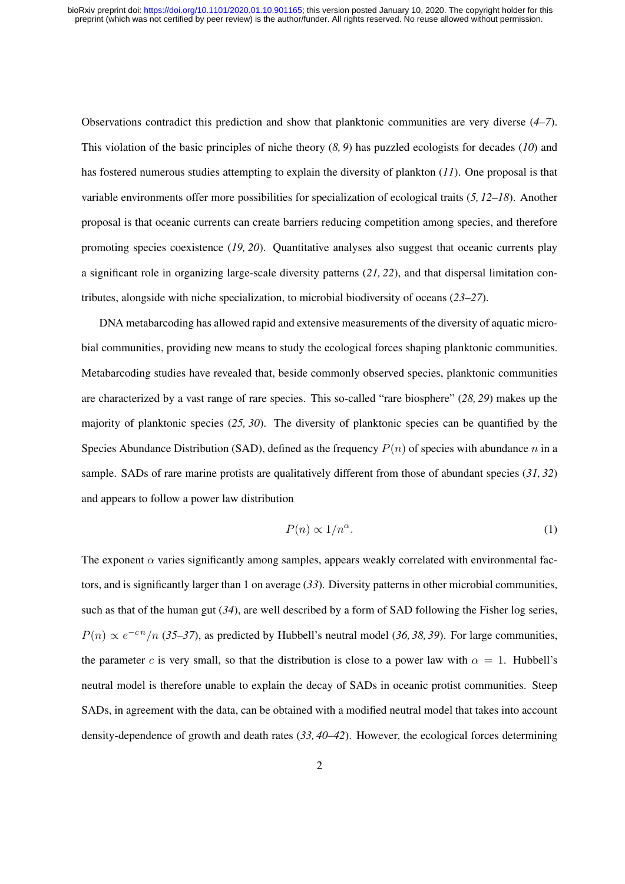Observations contradict this prediction and show that planktonic communities are very diverse (*4–7*). This violation of the basic principles of niche theory (*8, 9*) has puzzled ecologists for decades (*10*) and has fostered numerous studies attempting to explain the diversity of plankton (*11*). One proposal is that variable environments offer more possibilities for specialization of ecological traits (*5, 12–18*). Another proposal is that oceanic currents can create barriers reducing competition among species, and therefore promoting species coexistence (*19, 20*). Quantitative analyses also suggest that oceanic currents play a significant role in organizing large-scale diversity patterns (*21, 22*), and that dispersal limitation contributes, alongside with niche specialization, to microbial biodiversity of oceans (*23–27*).

DNA metabarcoding has allowed rapid and extensive measurements of the diversity of aquatic microbial communities, providing new means to study the ecological forces shaping planktonic communities. Metabarcoding studies have revealed that, beside commonly observed species, planktonic communities are characterized by a vast range of rare species. This so-called "rare biosphere" (*28, 29*) makes up the majority of planktonic species (*25, 30*). The diversity of planktonic species can be quantified by the Species Abundance Distribution (SAD), defined as the frequency  $P(n)$  of species with abundance n in a sample. SADs of rare marine protists are qualitatively different from those of abundant species (*31, 32*) and appears to follow a power law distribution

$$
P(n) \propto 1/n^{\alpha}.\tag{1}
$$

The exponent  $\alpha$  varies significantly among samples, appears weakly correlated with environmental factors, and is significantly larger than 1 on average (*33*). Diversity patterns in other microbial communities, such as that of the human gut (*34*), are well described by a form of SAD following the Fisher log series,  $P(n) \propto e^{-cn}/n$  (35–37), as predicted by Hubbell's neutral model (36, 38, 39). For large communities, the parameter c is very small, so that the distribution is close to a power law with  $\alpha = 1$ . Hubbell's neutral model is therefore unable to explain the decay of SADs in oceanic protist communities. Steep SADs, in agreement with the data, can be obtained with a modified neutral model that takes into account density-dependence of growth and death rates (*33, 40–42*). However, the ecological forces determining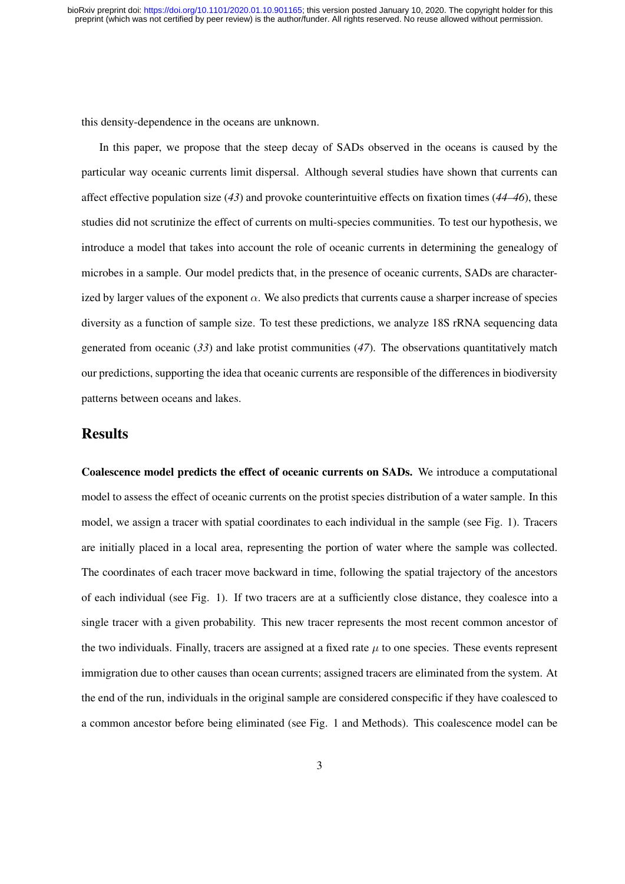this density-dependence in the oceans are unknown.

In this paper, we propose that the steep decay of SADs observed in the oceans is caused by the particular way oceanic currents limit dispersal. Although several studies have shown that currents can affect effective population size (*43*) and provoke counterintuitive effects on fixation times (*44–46*), these studies did not scrutinize the effect of currents on multi-species communities. To test our hypothesis, we introduce a model that takes into account the role of oceanic currents in determining the genealogy of microbes in a sample. Our model predicts that, in the presence of oceanic currents, SADs are characterized by larger values of the exponent  $\alpha$ . We also predicts that currents cause a sharper increase of species diversity as a function of sample size. To test these predictions, we analyze 18S rRNA sequencing data generated from oceanic (*33*) and lake protist communities (*47*). The observations quantitatively match our predictions, supporting the idea that oceanic currents are responsible of the differences in biodiversity patterns between oceans and lakes.

### Results

Coalescence model predicts the effect of oceanic currents on SADs. We introduce a computational model to assess the effect of oceanic currents on the protist species distribution of a water sample. In this model, we assign a tracer with spatial coordinates to each individual in the sample (see Fig. 1). Tracers are initially placed in a local area, representing the portion of water where the sample was collected. The coordinates of each tracer move backward in time, following the spatial trajectory of the ancestors of each individual (see Fig. 1). If two tracers are at a sufficiently close distance, they coalesce into a single tracer with a given probability. This new tracer represents the most recent common ancestor of the two individuals. Finally, tracers are assigned at a fixed rate  $\mu$  to one species. These events represent immigration due to other causes than ocean currents; assigned tracers are eliminated from the system. At the end of the run, individuals in the original sample are considered conspecific if they have coalesced to a common ancestor before being eliminated (see Fig. 1 and Methods). This coalescence model can be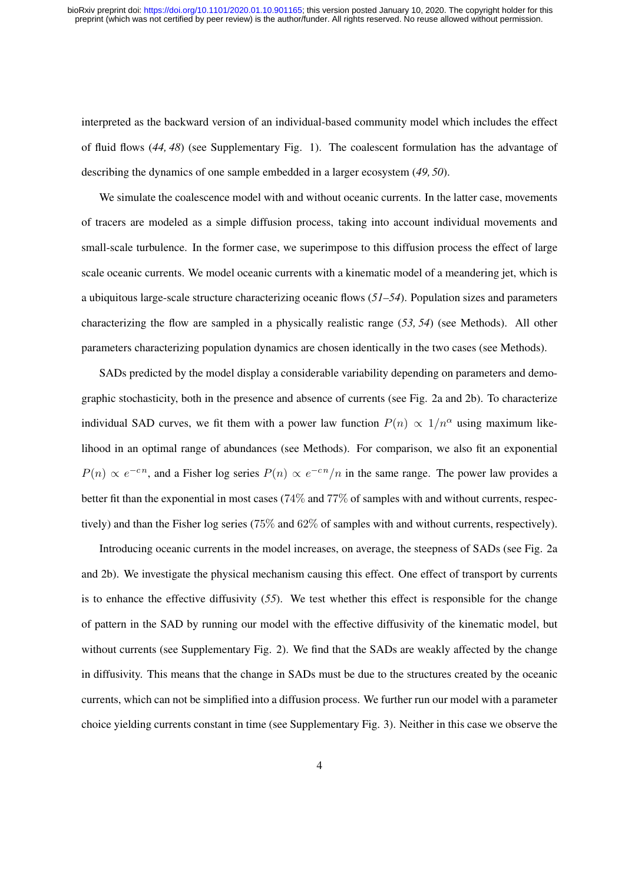interpreted as the backward version of an individual-based community model which includes the effect of fluid flows (*44, 48*) (see Supplementary Fig. 1). The coalescent formulation has the advantage of describing the dynamics of one sample embedded in a larger ecosystem (*49, 50*).

We simulate the coalescence model with and without oceanic currents. In the latter case, movements of tracers are modeled as a simple diffusion process, taking into account individual movements and small-scale turbulence. In the former case, we superimpose to this diffusion process the effect of large scale oceanic currents. We model oceanic currents with a kinematic model of a meandering jet, which is a ubiquitous large-scale structure characterizing oceanic flows (*51–54*). Population sizes and parameters characterizing the flow are sampled in a physically realistic range (*53, 54*) (see Methods). All other parameters characterizing population dynamics are chosen identically in the two cases (see Methods).

SADs predicted by the model display a considerable variability depending on parameters and demographic stochasticity, both in the presence and absence of currents (see Fig. 2a and 2b). To characterize individual SAD curves, we fit them with a power law function  $P(n) \propto 1/n^{\alpha}$  using maximum likelihood in an optimal range of abundances (see Methods). For comparison, we also fit an exponential  $P(n) \propto e^{-cn}$ , and a Fisher log series  $P(n) \propto e^{-cn}/n$  in the same range. The power law provides a better fit than the exponential in most cases (74% and 77% of samples with and without currents, respectively) and than the Fisher log series (75% and 62% of samples with and without currents, respectively).

Introducing oceanic currents in the model increases, on average, the steepness of SADs (see Fig. 2a and 2b). We investigate the physical mechanism causing this effect. One effect of transport by currents is to enhance the effective diffusivity (*55*). We test whether this effect is responsible for the change of pattern in the SAD by running our model with the effective diffusivity of the kinematic model, but without currents (see Supplementary Fig. 2). We find that the SADs are weakly affected by the change in diffusivity. This means that the change in SADs must be due to the structures created by the oceanic currents, which can not be simplified into a diffusion process. We further run our model with a parameter choice yielding currents constant in time (see Supplementary Fig. 3). Neither in this case we observe the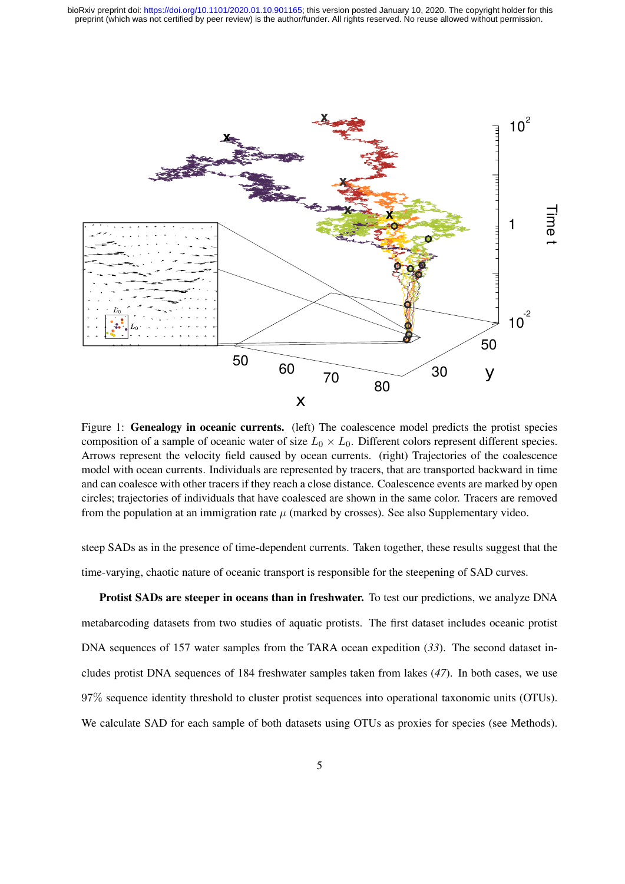

Figure 1: **Genealogy in oceanic currents.** (left) The coalescence model predicts the protist species composition of a sample of oceanic water of size  $L_0 \times L_0$ . Different colors represent different species. Arrows represent the velocity field caused by ocean currents. (right) Trajectories of the coalescence model with ocean currents. Individuals are represented by tracers, that are transported backward in time and can coalesce with other tracers if they reach a close distance. Coalescence events are marked by open circles; trajectories of individuals that have coalesced are shown in the same color. Tracers are removed from the population at an immigration rate  $\mu$  (marked by crosses). See also Supplementary video.

steep SADs as in the presence of time-dependent currents. Taken together, these results suggest that the time-varying, chaotic nature of oceanic transport is responsible for the steepening of SAD curves.

Protist SADs are steeper in oceans than in freshwater. To test our predictions, we analyze DNA metabarcoding datasets from two studies of aquatic protists. The first dataset includes oceanic protist DNA sequences of 157 water samples from the TARA ocean expedition (*33*). The second dataset includes protist DNA sequences of 184 freshwater samples taken from lakes (*47*). In both cases, we use 97% sequence identity threshold to cluster protist sequences into operational taxonomic units (OTUs). We calculate SAD for each sample of both datasets using OTUs as proxies for species (see Methods).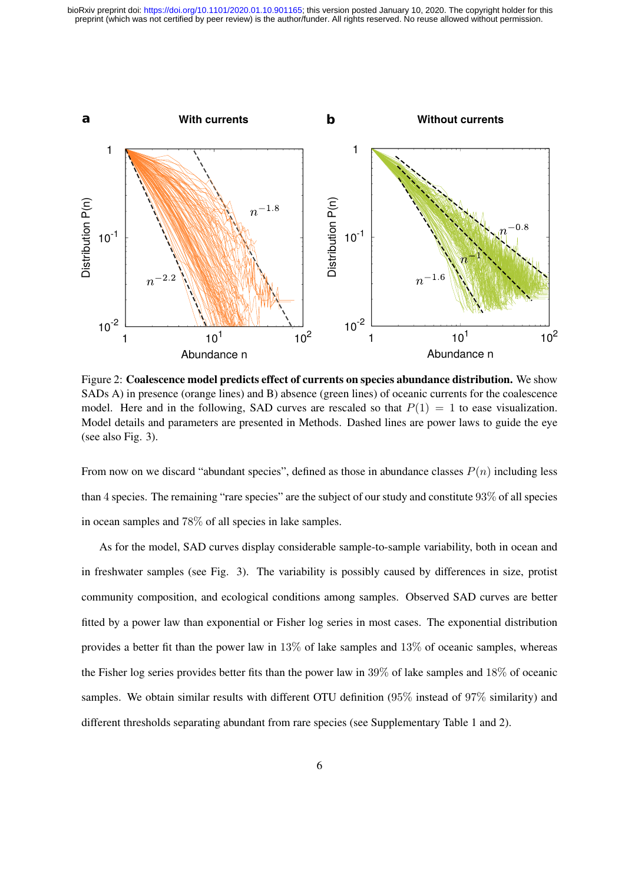

Figure 2: Coalescence model predicts effect of currents on species abundance distribution. We show SADs A) in presence (orange lines) and B) absence (green lines) of oceanic currents for the coalescence model. Here and in the following, SAD curves are rescaled so that  $P(1) = 1$  to ease visualization. Model details and parameters are presented in Methods. Dashed lines are power laws to guide the eye (see also Fig. 3).

From now on we discard "abundant species", defined as those in abundance classes  $P(n)$  including less than 4 species. The remaining "rare species" are the subject of our study and constitute 93% of all species in ocean samples and 78% of all species in lake samples.

As for the model, SAD curves display considerable sample-to-sample variability, both in ocean and in freshwater samples (see Fig. 3). The variability is possibly caused by differences in size, protist community composition, and ecological conditions among samples. Observed SAD curves are better fitted by a power law than exponential or Fisher log series in most cases. The exponential distribution provides a better fit than the power law in 13% of lake samples and 13% of oceanic samples, whereas the Fisher log series provides better fits than the power law in 39% of lake samples and 18% of oceanic samples. We obtain similar results with different OTU definition (95% instead of 97% similarity) and different thresholds separating abundant from rare species (see Supplementary Table 1 and 2).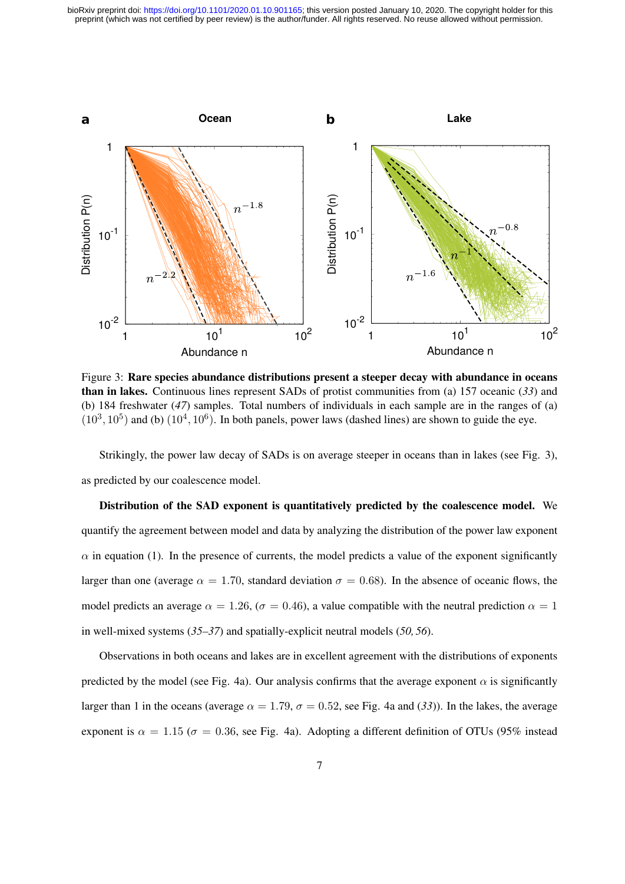

Figure 3: Rare species abundance distributions present a steeper decay with abundance in oceans than in lakes. Continuous lines represent SADs of protist communities from (a) 157 oceanic (*33*) and (b) 184 freshwater (*47*) samples. Total numbers of individuals in each sample are in the ranges of (a)  $(10^3, 10^5)$  and (b)  $(10^4, 10^6)$ . In both panels, power laws (dashed lines) are shown to guide the eye.

Strikingly, the power law decay of SADs is on average steeper in oceans than in lakes (see Fig. 3), as predicted by our coalescence model.

Distribution of the SAD exponent is quantitatively predicted by the coalescence model. We quantify the agreement between model and data by analyzing the distribution of the power law exponent  $\alpha$  in equation (1). In the presence of currents, the model predicts a value of the exponent significantly larger than one (average  $\alpha = 1.70$ , standard deviation  $\sigma = 0.68$ ). In the absence of oceanic flows, the model predicts an average  $\alpha = 1.26$ , ( $\sigma = 0.46$ ), a value compatible with the neutral prediction  $\alpha = 1$ in well-mixed systems (*35–37*) and spatially-explicit neutral models (*50, 56*).

Observations in both oceans and lakes are in excellent agreement with the distributions of exponents predicted by the model (see Fig. 4a). Our analysis confirms that the average exponent  $\alpha$  is significantly larger than 1 in the oceans (average  $\alpha = 1.79$ ,  $\sigma = 0.52$ , see Fig. 4a and (33)). In the lakes, the average exponent is  $\alpha = 1.15$  ( $\sigma = 0.36$ , see Fig. 4a). Adopting a different definition of OTUs (95% instead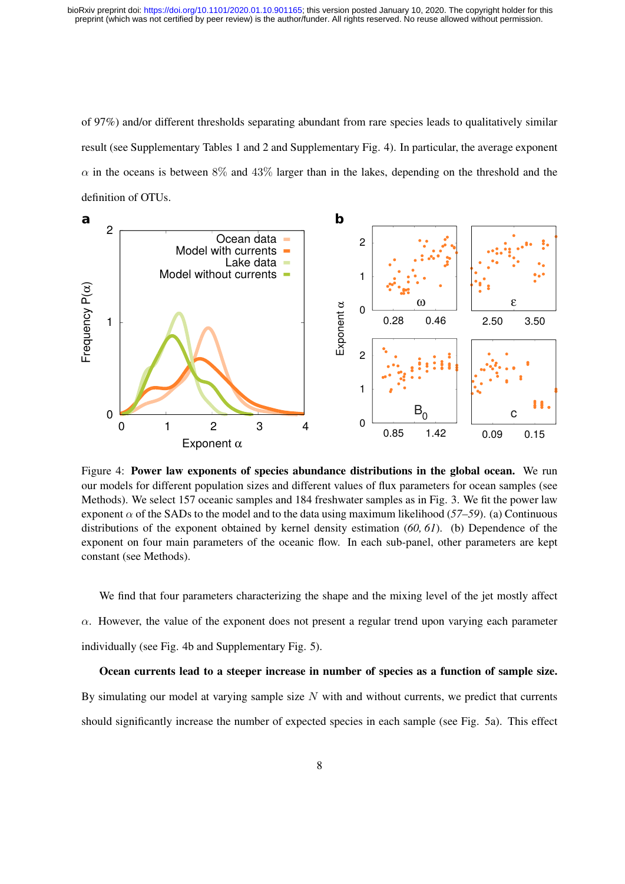of 97%) and/or different thresholds separating abundant from rare species leads to qualitatively similar result (see Supplementary Tables 1 and 2 and Supplementary Fig. 4). In particular, the average exponent  $\alpha$  in the oceans is between 8% and 43% larger than in the lakes, depending on the threshold and the definition of OTUs.



Figure 4: Power law exponents of species abundance distributions in the global ocean. We run our models for different population sizes and different values of flux parameters for ocean samples (see Methods). We select 157 oceanic samples and 184 freshwater samples as in Fig. 3. We fit the power law exponent  $\alpha$  of the SADs to the model and to the data using maximum likelihood (57–59). (a) Continuous distributions of the exponent obtained by kernel density estimation (*60, 61*). (b) Dependence of the exponent on four main parameters of the oceanic flow. In each sub-panel, other parameters are kept constant (see Methods).

We find that four parameters characterizing the shape and the mixing level of the jet mostly affect  $\alpha$ . However, the value of the exponent does not present a regular trend upon varying each parameter individually (see Fig. 4b and Supplementary Fig. 5).

#### Ocean currents lead to a steeper increase in number of species as a function of sample size.

By simulating our model at varying sample size  $N$  with and without currents, we predict that currents should significantly increase the number of expected species in each sample (see Fig. 5a). This effect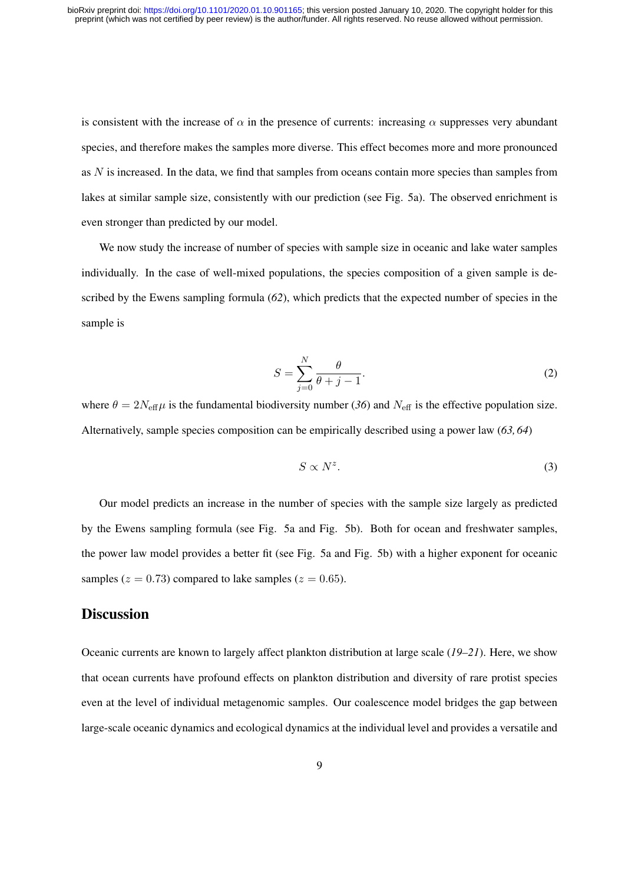is consistent with the increase of  $\alpha$  in the presence of currents: increasing  $\alpha$  suppresses very abundant species, and therefore makes the samples more diverse. This effect becomes more and more pronounced as  $N$  is increased. In the data, we find that samples from oceans contain more species than samples from lakes at similar sample size, consistently with our prediction (see Fig. 5a). The observed enrichment is even stronger than predicted by our model.

We now study the increase of number of species with sample size in oceanic and lake water samples individually. In the case of well-mixed populations, the species composition of a given sample is described by the Ewens sampling formula (*62*), which predicts that the expected number of species in the sample is

$$
S = \sum_{j=0}^{N} \frac{\theta}{\theta + j - 1}.
$$
 (2)

where  $\theta = 2N_{\text{eff}}\mu$  is the fundamental biodiversity number (36) and  $N_{\text{eff}}$  is the effective population size. Alternatively, sample species composition can be empirically described using a power law (*63, 64*)

$$
S \propto N^z. \tag{3}
$$

Our model predicts an increase in the number of species with the sample size largely as predicted by the Ewens sampling formula (see Fig. 5a and Fig. 5b). Both for ocean and freshwater samples, the power law model provides a better fit (see Fig. 5a and Fig. 5b) with a higher exponent for oceanic samples ( $z = 0.73$ ) compared to lake samples ( $z = 0.65$ ).

## Discussion

Oceanic currents are known to largely affect plankton distribution at large scale (*19–21*). Here, we show that ocean currents have profound effects on plankton distribution and diversity of rare protist species even at the level of individual metagenomic samples. Our coalescence model bridges the gap between large-scale oceanic dynamics and ecological dynamics at the individual level and provides a versatile and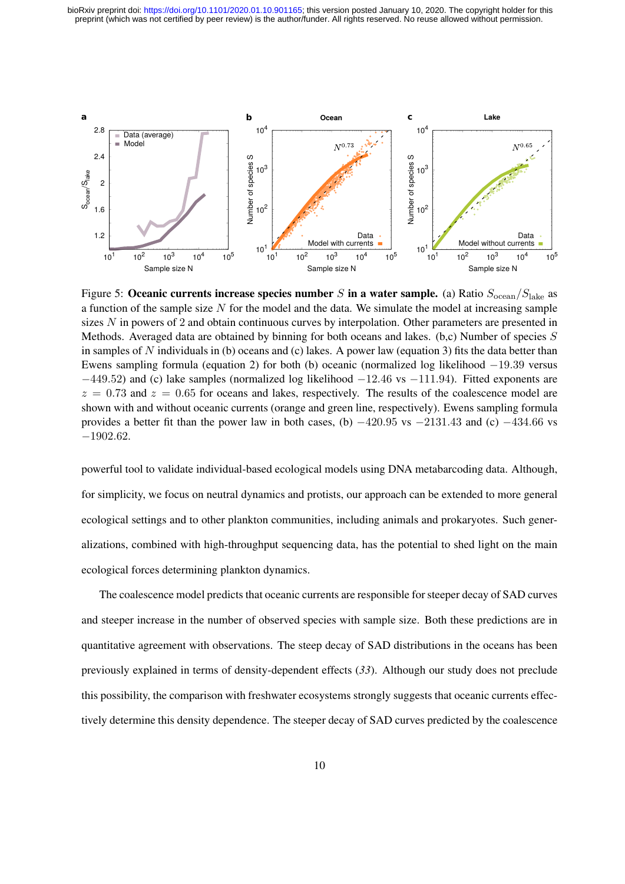

Figure 5: Oceanic currents increase species number S in a water sample. (a) Ratio  $S_{\text{ocean}}/S_{\text{late}}$  as a function of the sample size N for the model and the data. We simulate the model at increasing sample sizes N in powers of 2 and obtain continuous curves by interpolation. Other parameters are presented in Methods. Averaged data are obtained by binning for both oceans and lakes.  $(b,c)$  Number of species S in samples of N individuals in (b) oceans and (c) lakes. A power law (equation 3) fits the data better than Ewens sampling formula (equation 2) for both (b) oceanic (normalized log likelihood  $-19.39$  versus −449.52) and (c) lake samples (normalized log likelihood −12.46 vs −111.94). Fitted exponents are  $z = 0.73$  and  $z = 0.65$  for oceans and lakes, respectively. The results of the coalescence model are shown with and without oceanic currents (orange and green line, respectively). Ewens sampling formula provides a better fit than the power law in both cases, (b)  $-420.95$  vs  $-2131.43$  and (c)  $-434.66$  vs −1902.62.

powerful tool to validate individual-based ecological models using DNA metabarcoding data. Although, for simplicity, we focus on neutral dynamics and protists, our approach can be extended to more general ecological settings and to other plankton communities, including animals and prokaryotes. Such generalizations, combined with high-throughput sequencing data, has the potential to shed light on the main ecological forces determining plankton dynamics.

The coalescence model predicts that oceanic currents are responsible for steeper decay of SAD curves and steeper increase in the number of observed species with sample size. Both these predictions are in quantitative agreement with observations. The steep decay of SAD distributions in the oceans has been previously explained in terms of density-dependent effects (*33*). Although our study does not preclude this possibility, the comparison with freshwater ecosystems strongly suggests that oceanic currents effectively determine this density dependence. The steeper decay of SAD curves predicted by the coalescence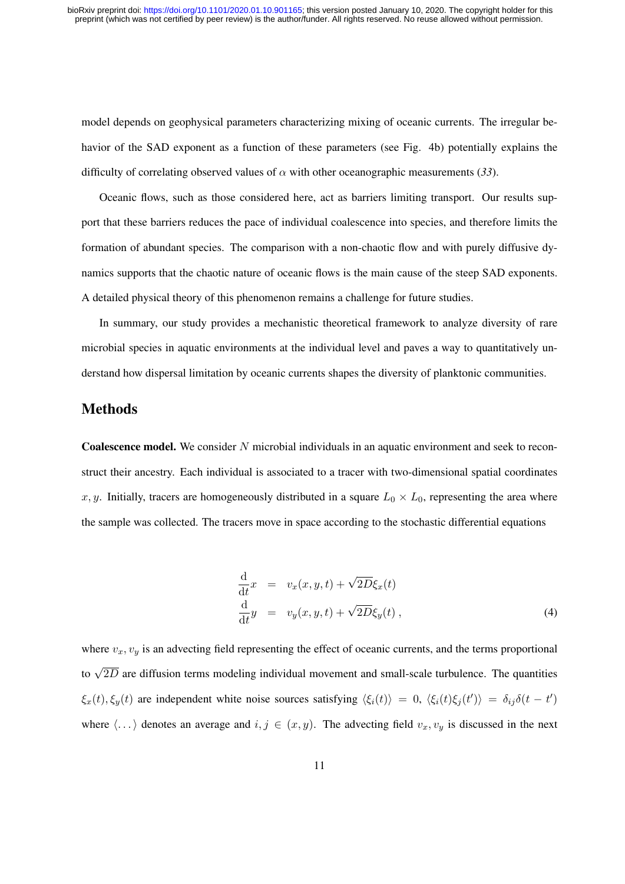model depends on geophysical parameters characterizing mixing of oceanic currents. The irregular behavior of the SAD exponent as a function of these parameters (see Fig. 4b) potentially explains the difficulty of correlating observed values of  $\alpha$  with other oceanographic measurements (33).

Oceanic flows, such as those considered here, act as barriers limiting transport. Our results support that these barriers reduces the pace of individual coalescence into species, and therefore limits the formation of abundant species. The comparison with a non-chaotic flow and with purely diffusive dynamics supports that the chaotic nature of oceanic flows is the main cause of the steep SAD exponents. A detailed physical theory of this phenomenon remains a challenge for future studies.

In summary, our study provides a mechanistic theoretical framework to analyze diversity of rare microbial species in aquatic environments at the individual level and paves a way to quantitatively understand how dispersal limitation by oceanic currents shapes the diversity of planktonic communities.

# Methods

Coalescence model. We consider N microbial individuals in an aquatic environment and seek to reconstruct their ancestry. Each individual is associated to a tracer with two-dimensional spatial coordinates x, y. Initially, tracers are homogeneously distributed in a square  $L_0 \times L_0$ , representing the area where the sample was collected. The tracers move in space according to the stochastic differential equations

$$
\frac{\mathrm{d}}{\mathrm{d}t}x = v_x(x, y, t) + \sqrt{2D}\xi_x(t) \n\frac{\mathrm{d}}{\mathrm{d}t}y = v_y(x, y, t) + \sqrt{2D}\xi_y(t) ,
$$
\n(4)

where  $v_x, v_y$  is an advecting field representing the effect of oceanic currents, and the terms proportional to  $\sqrt{2D}$  are diffusion terms modeling individual movement and small-scale turbulence. The quantities  $\xi_x(t), \xi_y(t)$  are independent white noise sources satisfying  $\langle \xi_i(t) \rangle = 0$ ,  $\langle \xi_i(t) \xi_j(t') \rangle = \delta_{ij} \delta(t - t')$ where  $\langle \ldots \rangle$  denotes an average and  $i, j \in (x, y)$ . The advecting field  $v_x, v_y$  is discussed in the next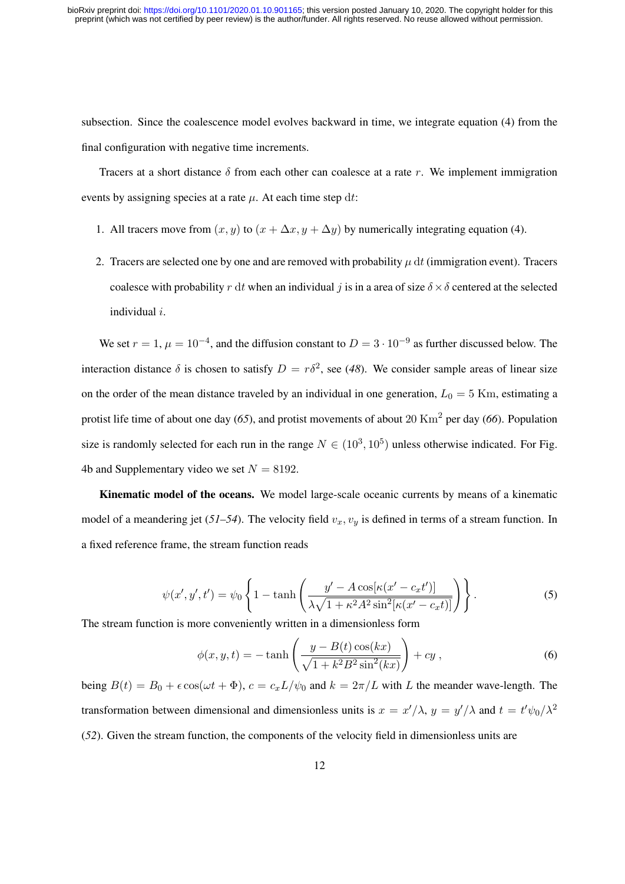subsection. Since the coalescence model evolves backward in time, we integrate equation (4) from the final configuration with negative time increments.

Tracers at a short distance  $\delta$  from each other can coalesce at a rate r. We implement immigration events by assigning species at a rate  $\mu$ . At each time step dt:

- 1. All tracers move from  $(x, y)$  to  $(x + \Delta x, y + \Delta y)$  by numerically integrating equation (4).
- 2. Tracers are selected one by one and are removed with probability  $\mu$  dt (immigration event). Tracers coalesce with probability r dt when an individual j is in a area of size  $\delta \times \delta$  centered at the selected individual i.

We set  $r = 1$ ,  $\mu = 10^{-4}$ , and the diffusion constant to  $D = 3 \cdot 10^{-9}$  as further discussed below. The interaction distance  $\delta$  is chosen to satisfy  $D = r\delta^2$ , see (48). We consider sample areas of linear size on the order of the mean distance traveled by an individual in one generation,  $L_0 = 5$  Km, estimating a protist life time of about one day (*65*), and protist movements of about 20 Km<sup>2</sup> per day (*66*). Population size is randomly selected for each run in the range  $N \in (10^3, 10^5)$  unless otherwise indicated. For Fig. 4b and Supplementary video we set  $N = 8192$ .

Kinematic model of the oceans. We model large-scale oceanic currents by means of a kinematic model of a meandering jet ( $51-54$ ). The velocity field  $v_x, v_y$  is defined in terms of a stream function. In a fixed reference frame, the stream function reads

$$
\psi(x',y',t') = \psi_0 \left\{ 1 - \tanh\left(\frac{y' - A\cos[\kappa(x'-c_x t')]}{\lambda\sqrt{1 + \kappa^2 A^2 \sin^2[\kappa(x'-c_x t)]}}\right) \right\}.
$$
\n(5)

The stream function is more conveniently written in a dimensionless form

$$
\phi(x,y,t) = -\tanh\left(\frac{y - B(t)\cos(kx)}{\sqrt{1 + k^2 B^2 \sin^2(kx)}}\right) + cy\,,\tag{6}
$$

being  $B(t) = B_0 + \epsilon \cos(\omega t + \Phi)$ ,  $c = c_x L/\psi_0$  and  $k = 2\pi/L$  with L the meander wave-length. The transformation between dimensional and dimensionless units is  $x = x'/\lambda$ ,  $y = y'/\lambda$  and  $t = t'\psi_0/\lambda^2$ (*52*). Given the stream function, the components of the velocity field in dimensionless units are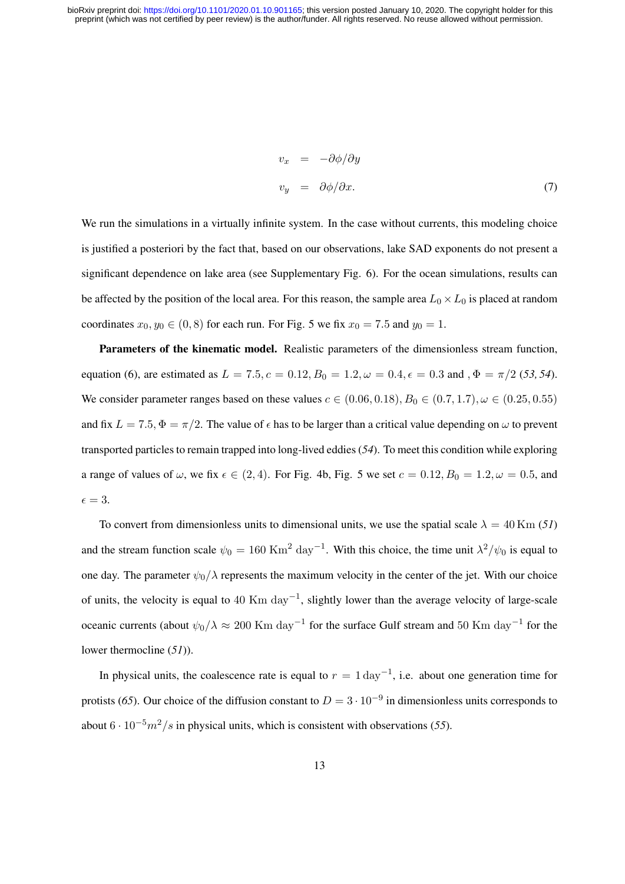$$
v_x = -\partial \phi / \partial y
$$
  
\n
$$
v_y = \partial \phi / \partial x.
$$
 (7)

We run the simulations in a virtually infinite system. In the case without currents, this modeling choice is justified a posteriori by the fact that, based on our observations, lake SAD exponents do not present a significant dependence on lake area (see Supplementary Fig. 6). For the ocean simulations, results can be affected by the position of the local area. For this reason, the sample area  $L_0 \times L_0$  is placed at random coordinates  $x_0, y_0 \in (0, 8)$  for each run. For Fig. 5 we fix  $x_0 = 7.5$  and  $y_0 = 1$ .

Parameters of the kinematic model. Realistic parameters of the dimensionless stream function, equation (6), are estimated as  $L = 7.5$ ,  $c = 0.12$ ,  $B_0 = 1.2$ ,  $\omega = 0.4$ ,  $\epsilon = 0.3$  and ,  $\Phi = \pi/2$  (53, 54). We consider parameter ranges based on these values  $c \in (0.06, 0.18), B_0 \in (0.7, 1.7), \omega \in (0.25, 0.55)$ and fix  $L = 7.5$ ,  $\Phi = \pi/2$ . The value of  $\epsilon$  has to be larger than a critical value depending on  $\omega$  to prevent transported particles to remain trapped into long-lived eddies (*54*). To meet this condition while exploring a range of values of  $\omega$ , we fix  $\epsilon \in (2, 4)$ . For Fig. 4b, Fig. 5 we set  $c = 0.12, B_0 = 1.2, \omega = 0.5$ , and  $\epsilon = 3.$ 

To convert from dimensionless units to dimensional units, we use the spatial scale  $\lambda = 40$  Km (51) and the stream function scale  $\psi_0 = 160 \text{ Km}^2 \text{ day}^{-1}$ . With this choice, the time unit  $\lambda^2/\psi_0$  is equal to one day. The parameter  $\psi_0/\lambda$  represents the maximum velocity in the center of the jet. With our choice of units, the velocity is equal to 40 Km day<sup>-1</sup>, slightly lower than the average velocity of large-scale oceanic currents (about  $\psi_0/\lambda \approx 200$  Km day<sup>-1</sup> for the surface Gulf stream and 50 Km day<sup>-1</sup> for the lower thermocline (*51*)).

In physical units, the coalescence rate is equal to  $r = 1 \text{ day}^{-1}$ , i.e. about one generation time for protists (65). Our choice of the diffusion constant to  $D = 3 \cdot 10^{-9}$  in dimensionless units corresponds to about  $6 \cdot 10^{-5} m^2/s$  in physical units, which is consistent with observations (55).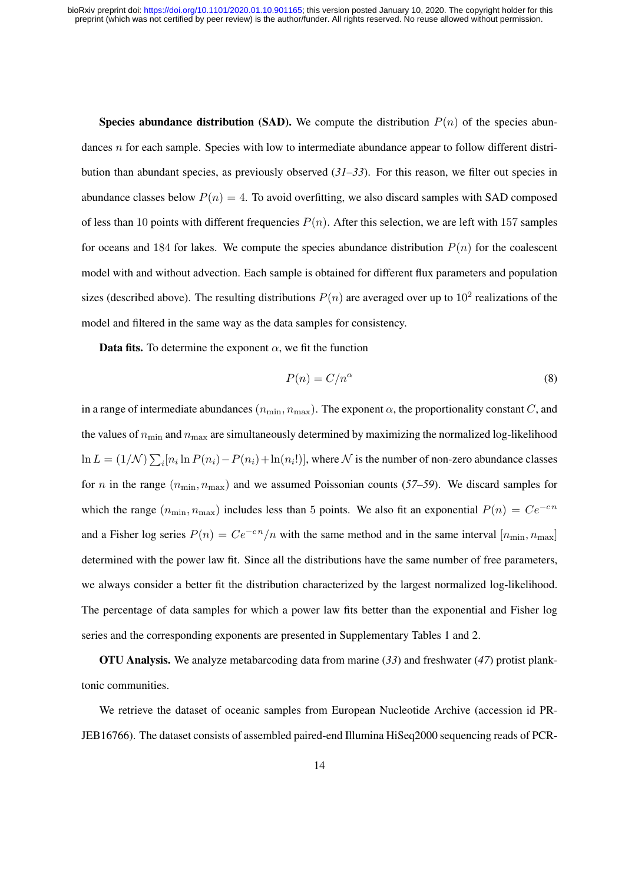**Species abundance distribution (SAD).** We compute the distribution  $P(n)$  of the species abundances n for each sample. Species with low to intermediate abundance appear to follow different distribution than abundant species, as previously observed (*31–33*). For this reason, we filter out species in abundance classes below  $P(n) = 4$ . To avoid overfitting, we also discard samples with SAD composed of less than 10 points with different frequencies  $P(n)$ . After this selection, we are left with 157 samples for oceans and 184 for lakes. We compute the species abundance distribution  $P(n)$  for the coalescent model with and without advection. Each sample is obtained for different flux parameters and population sizes (described above). The resulting distributions  $P(n)$  are averaged over up to  $10^2$  realizations of the model and filtered in the same way as the data samples for consistency.

**Data fits.** To determine the exponent  $\alpha$ , we fit the function

$$
P(n) = C/n^{\alpha} \tag{8}
$$

in a range of intermediate abundances  $(n_{\min}, n_{\max})$ . The exponent  $\alpha$ , the proportionality constant C, and the values of  $n_{\text{min}}$  and  $n_{\text{max}}$  are simultaneously determined by maximizing the normalized log-likelihood  $\ln L = (1/\mathcal{N}) \sum_i [n_i \ln P(n_i) - P(n_i) + \ln(n_i!)],$  where  $\mathcal N$  is the number of non-zero abundance classes for *n* in the range  $(n_{\min}, n_{\max})$  and we assumed Poissonian counts (57–59). We discard samples for which the range  $(n_{\min}, n_{\max})$  includes less than 5 points. We also fit an exponential  $P(n) = Ce^{-cn}$ and a Fisher log series  $P(n) = Ce^{-cn}/n$  with the same method and in the same interval  $[n_{\min}, n_{\max}]$ determined with the power law fit. Since all the distributions have the same number of free parameters, we always consider a better fit the distribution characterized by the largest normalized log-likelihood. The percentage of data samples for which a power law fits better than the exponential and Fisher log series and the corresponding exponents are presented in Supplementary Tables 1 and 2.

OTU Analysis. We analyze metabarcoding data from marine (*33*) and freshwater (*47*) protist planktonic communities.

We retrieve the dataset of oceanic samples from European Nucleotide Archive (accession id PR-JEB16766). The dataset consists of assembled paired-end Illumina HiSeq2000 sequencing reads of PCR-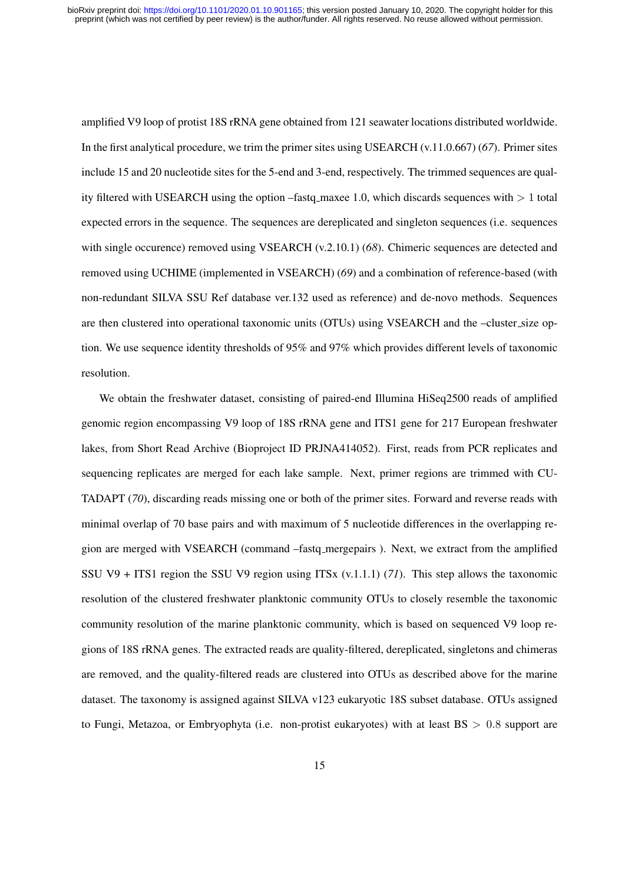amplified V9 loop of protist 18S rRNA gene obtained from 121 seawater locations distributed worldwide. In the first analytical procedure, we trim the primer sites using USEARCH (v.11.0.667) (*67*). Primer sites include 15 and 20 nucleotide sites for the 5-end and 3-end, respectively. The trimmed sequences are quality filtered with USEARCH using the option –fastq maxee 1.0, which discards sequences with  $> 1$  total expected errors in the sequence. The sequences are dereplicated and singleton sequences (i.e. sequences with single occurence) removed using VSEARCH (v.2.10.1) (68). Chimeric sequences are detected and removed using UCHIME (implemented in VSEARCH) (*69*) and a combination of reference-based (with non-redundant SILVA SSU Ref database ver.132 used as reference) and de-novo methods. Sequences are then clustered into operational taxonomic units (OTUs) using VSEARCH and the –cluster size option. We use sequence identity thresholds of 95% and 97% which provides different levels of taxonomic resolution.

We obtain the freshwater dataset, consisting of paired-end Illumina HiSeq2500 reads of amplified genomic region encompassing V9 loop of 18S rRNA gene and ITS1 gene for 217 European freshwater lakes, from Short Read Archive (Bioproject ID PRJNA414052). First, reads from PCR replicates and sequencing replicates are merged for each lake sample. Next, primer regions are trimmed with CU-TADAPT (*70*), discarding reads missing one or both of the primer sites. Forward and reverse reads with minimal overlap of 70 base pairs and with maximum of 5 nucleotide differences in the overlapping region are merged with VSEARCH (command –fastq mergepairs ). Next, we extract from the amplified SSU V9 + ITS1 region the SSU V9 region using ITSx (v.1.1.1) (*71*). This step allows the taxonomic resolution of the clustered freshwater planktonic community OTUs to closely resemble the taxonomic community resolution of the marine planktonic community, which is based on sequenced V9 loop regions of 18S rRNA genes. The extracted reads are quality-filtered, dereplicated, singletons and chimeras are removed, and the quality-filtered reads are clustered into OTUs as described above for the marine dataset. The taxonomy is assigned against SILVA v123 eukaryotic 18S subset database. OTUs assigned to Fungi, Metazoa, or Embryophyta (i.e. non-protist eukaryotes) with at least  $BS > 0.8$  support are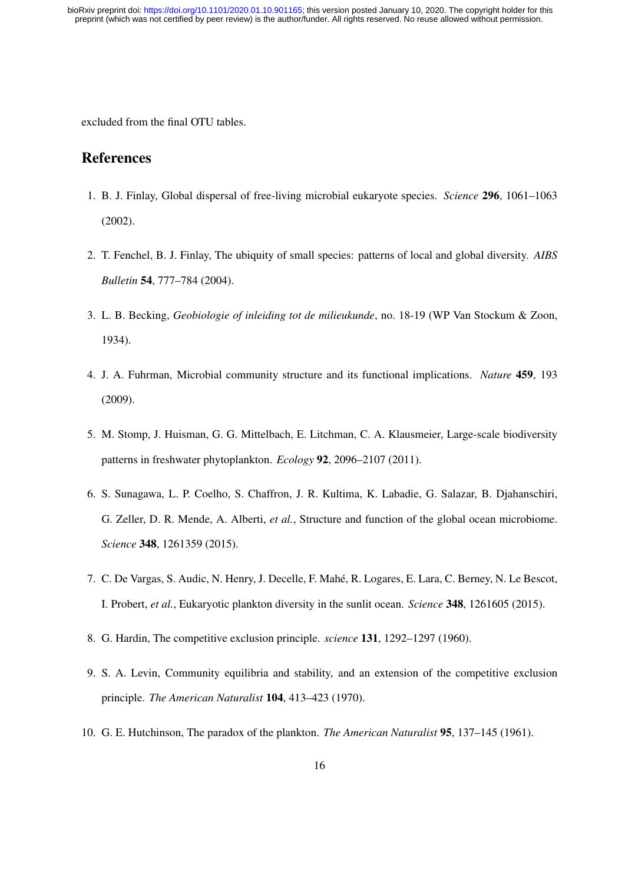excluded from the final OTU tables.

# References

- 1. B. J. Finlay, Global dispersal of free-living microbial eukaryote species. *Science* 296, 1061–1063 (2002).
- 2. T. Fenchel, B. J. Finlay, The ubiquity of small species: patterns of local and global diversity. *AIBS Bulletin* 54, 777–784 (2004).
- 3. L. B. Becking, *Geobiologie of inleiding tot de milieukunde*, no. 18-19 (WP Van Stockum & Zoon, 1934).
- 4. J. A. Fuhrman, Microbial community structure and its functional implications. *Nature* 459, 193 (2009).
- 5. M. Stomp, J. Huisman, G. G. Mittelbach, E. Litchman, C. A. Klausmeier, Large-scale biodiversity patterns in freshwater phytoplankton. *Ecology* 92, 2096–2107 (2011).
- 6. S. Sunagawa, L. P. Coelho, S. Chaffron, J. R. Kultima, K. Labadie, G. Salazar, B. Djahanschiri, G. Zeller, D. R. Mende, A. Alberti, *et al.*, Structure and function of the global ocean microbiome. *Science* 348, 1261359 (2015).
- 7. C. De Vargas, S. Audic, N. Henry, J. Decelle, F. Mahe, R. Logares, E. Lara, C. Berney, N. Le Bescot, ´ I. Probert, *et al.*, Eukaryotic plankton diversity in the sunlit ocean. *Science* 348, 1261605 (2015).
- 8. G. Hardin, The competitive exclusion principle. *science* 131, 1292–1297 (1960).
- 9. S. A. Levin, Community equilibria and stability, and an extension of the competitive exclusion principle. *The American Naturalist* 104, 413–423 (1970).
- 10. G. E. Hutchinson, The paradox of the plankton. *The American Naturalist* 95, 137–145 (1961).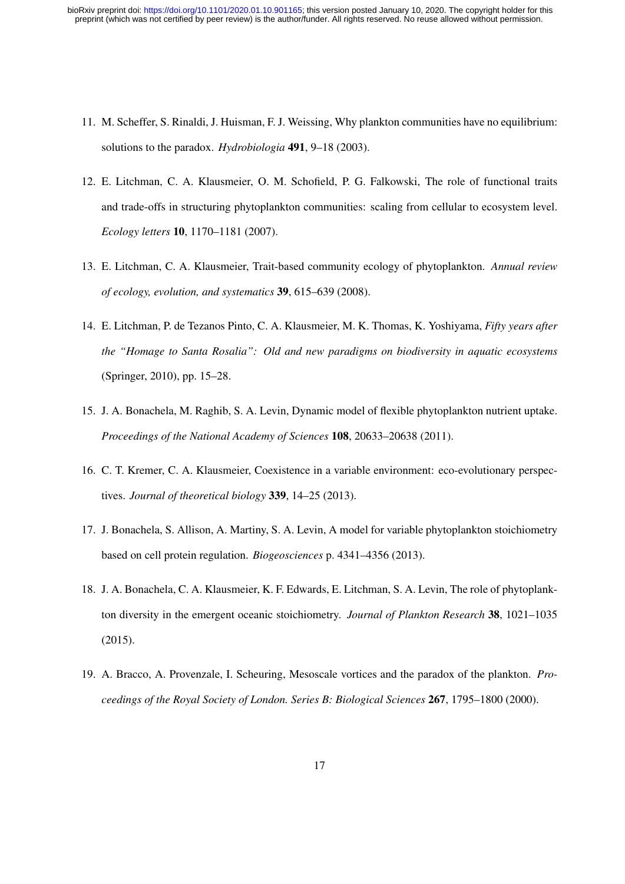- 11. M. Scheffer, S. Rinaldi, J. Huisman, F. J. Weissing, Why plankton communities have no equilibrium: solutions to the paradox. *Hydrobiologia* 491, 9–18 (2003).
- 12. E. Litchman, C. A. Klausmeier, O. M. Schofield, P. G. Falkowski, The role of functional traits and trade-offs in structuring phytoplankton communities: scaling from cellular to ecosystem level. *Ecology letters* 10, 1170–1181 (2007).
- 13. E. Litchman, C. A. Klausmeier, Trait-based community ecology of phytoplankton. *Annual review of ecology, evolution, and systematics* 39, 615–639 (2008).
- 14. E. Litchman, P. de Tezanos Pinto, C. A. Klausmeier, M. K. Thomas, K. Yoshiyama, *Fifty years after the "Homage to Santa Rosalia": Old and new paradigms on biodiversity in aquatic ecosystems* (Springer, 2010), pp. 15–28.
- 15. J. A. Bonachela, M. Raghib, S. A. Levin, Dynamic model of flexible phytoplankton nutrient uptake. *Proceedings of the National Academy of Sciences* 108, 20633–20638 (2011).
- 16. C. T. Kremer, C. A. Klausmeier, Coexistence in a variable environment: eco-evolutionary perspectives. *Journal of theoretical biology* 339, 14–25 (2013).
- 17. J. Bonachela, S. Allison, A. Martiny, S. A. Levin, A model for variable phytoplankton stoichiometry based on cell protein regulation. *Biogeosciences* p. 4341–4356 (2013).
- 18. J. A. Bonachela, C. A. Klausmeier, K. F. Edwards, E. Litchman, S. A. Levin, The role of phytoplankton diversity in the emergent oceanic stoichiometry. *Journal of Plankton Research* 38, 1021–1035 (2015).
- 19. A. Bracco, A. Provenzale, I. Scheuring, Mesoscale vortices and the paradox of the plankton. *Proceedings of the Royal Society of London. Series B: Biological Sciences* 267, 1795–1800 (2000).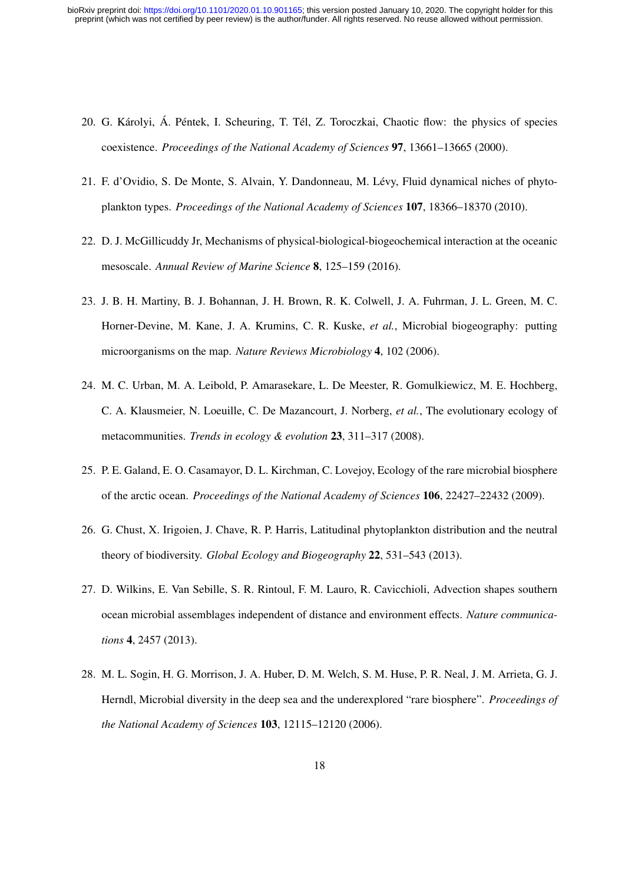- 20. G. Károlyi, Á. Péntek, I. Scheuring, T. Tél, Z. Toroczkai, Chaotic flow: the physics of species coexistence. *Proceedings of the National Academy of Sciences* 97, 13661–13665 (2000).
- 21. F. d'Ovidio, S. De Monte, S. Alvain, Y. Dandonneau, M. Levy, Fluid dynamical niches of phyto- ´ plankton types. *Proceedings of the National Academy of Sciences* 107, 18366–18370 (2010).
- 22. D. J. McGillicuddy Jr, Mechanisms of physical-biological-biogeochemical interaction at the oceanic mesoscale. *Annual Review of Marine Science* 8, 125–159 (2016).
- 23. J. B. H. Martiny, B. J. Bohannan, J. H. Brown, R. K. Colwell, J. A. Fuhrman, J. L. Green, M. C. Horner-Devine, M. Kane, J. A. Krumins, C. R. Kuske, *et al.*, Microbial biogeography: putting microorganisms on the map. *Nature Reviews Microbiology* 4, 102 (2006).
- 24. M. C. Urban, M. A. Leibold, P. Amarasekare, L. De Meester, R. Gomulkiewicz, M. E. Hochberg, C. A. Klausmeier, N. Loeuille, C. De Mazancourt, J. Norberg, *et al.*, The evolutionary ecology of metacommunities. *Trends in ecology & evolution* 23, 311–317 (2008).
- 25. P. E. Galand, E. O. Casamayor, D. L. Kirchman, C. Lovejoy, Ecology of the rare microbial biosphere of the arctic ocean. *Proceedings of the National Academy of Sciences* 106, 22427–22432 (2009).
- 26. G. Chust, X. Irigoien, J. Chave, R. P. Harris, Latitudinal phytoplankton distribution and the neutral theory of biodiversity. *Global Ecology and Biogeography* 22, 531–543 (2013).
- 27. D. Wilkins, E. Van Sebille, S. R. Rintoul, F. M. Lauro, R. Cavicchioli, Advection shapes southern ocean microbial assemblages independent of distance and environment effects. *Nature communications* 4, 2457 (2013).
- 28. M. L. Sogin, H. G. Morrison, J. A. Huber, D. M. Welch, S. M. Huse, P. R. Neal, J. M. Arrieta, G. J. Herndl, Microbial diversity in the deep sea and the underexplored "rare biosphere". *Proceedings of the National Academy of Sciences* 103, 12115–12120 (2006).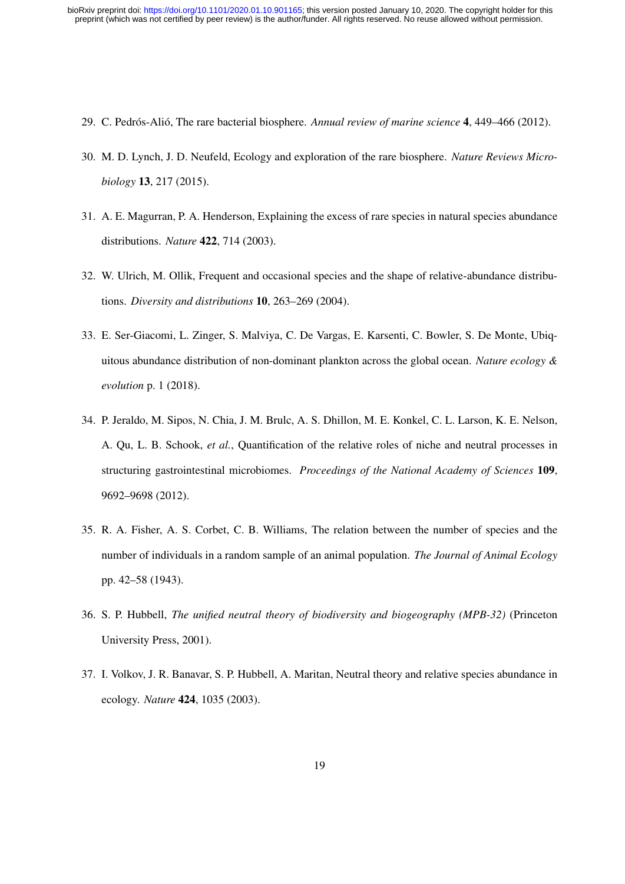- 29. C. Pedrós-Alió, The rare bacterial biosphere. *Annual review of marine science* 4, 449–466 (2012).
- 30. M. D. Lynch, J. D. Neufeld, Ecology and exploration of the rare biosphere. *Nature Reviews Microbiology* 13, 217 (2015).
- 31. A. E. Magurran, P. A. Henderson, Explaining the excess of rare species in natural species abundance distributions. *Nature* 422, 714 (2003).
- 32. W. Ulrich, M. Ollik, Frequent and occasional species and the shape of relative-abundance distributions. *Diversity and distributions* 10, 263–269 (2004).
- 33. E. Ser-Giacomi, L. Zinger, S. Malviya, C. De Vargas, E. Karsenti, C. Bowler, S. De Monte, Ubiquitous abundance distribution of non-dominant plankton across the global ocean. *Nature ecology & evolution* p. 1 (2018).
- 34. P. Jeraldo, M. Sipos, N. Chia, J. M. Brulc, A. S. Dhillon, M. E. Konkel, C. L. Larson, K. E. Nelson, A. Qu, L. B. Schook, *et al.*, Quantification of the relative roles of niche and neutral processes in structuring gastrointestinal microbiomes. *Proceedings of the National Academy of Sciences* 109, 9692–9698 (2012).
- 35. R. A. Fisher, A. S. Corbet, C. B. Williams, The relation between the number of species and the number of individuals in a random sample of an animal population. *The Journal of Animal Ecology* pp. 42–58 (1943).
- 36. S. P. Hubbell, *The unified neutral theory of biodiversity and biogeography (MPB-32)* (Princeton University Press, 2001).
- 37. I. Volkov, J. R. Banavar, S. P. Hubbell, A. Maritan, Neutral theory and relative species abundance in ecology. *Nature* 424, 1035 (2003).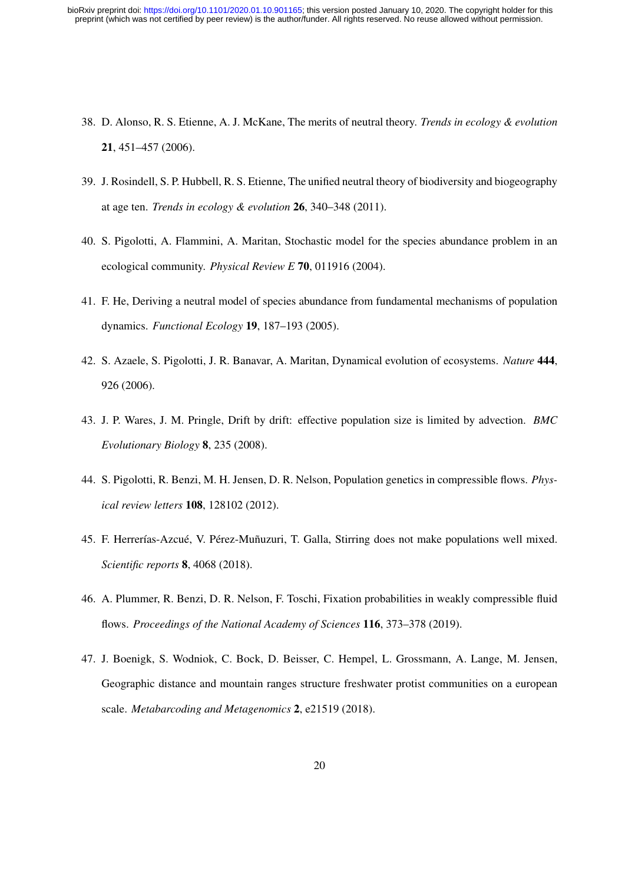- 38. D. Alonso, R. S. Etienne, A. J. McKane, The merits of neutral theory. *Trends in ecology & evolution* 21, 451–457 (2006).
- 39. J. Rosindell, S. P. Hubbell, R. S. Etienne, The unified neutral theory of biodiversity and biogeography at age ten. *Trends in ecology & evolution* 26, 340–348 (2011).
- 40. S. Pigolotti, A. Flammini, A. Maritan, Stochastic model for the species abundance problem in an ecological community. *Physical Review E* 70, 011916 (2004).
- 41. F. He, Deriving a neutral model of species abundance from fundamental mechanisms of population dynamics. *Functional Ecology* 19, 187–193 (2005).
- 42. S. Azaele, S. Pigolotti, J. R. Banavar, A. Maritan, Dynamical evolution of ecosystems. *Nature* 444, 926 (2006).
- 43. J. P. Wares, J. M. Pringle, Drift by drift: effective population size is limited by advection. *BMC Evolutionary Biology* 8, 235 (2008).
- 44. S. Pigolotti, R. Benzi, M. H. Jensen, D. R. Nelson, Population genetics in compressible flows. *Physical review letters* 108, 128102 (2012).
- 45. F. Herrerías-Azcué, V. Pérez-Muñuzuri, T. Galla, Stirring does not make populations well mixed. *Scientific reports* 8, 4068 (2018).
- 46. A. Plummer, R. Benzi, D. R. Nelson, F. Toschi, Fixation probabilities in weakly compressible fluid flows. *Proceedings of the National Academy of Sciences* 116, 373–378 (2019).
- 47. J. Boenigk, S. Wodniok, C. Bock, D. Beisser, C. Hempel, L. Grossmann, A. Lange, M. Jensen, Geographic distance and mountain ranges structure freshwater protist communities on a european scale. *Metabarcoding and Metagenomics* 2, e21519 (2018).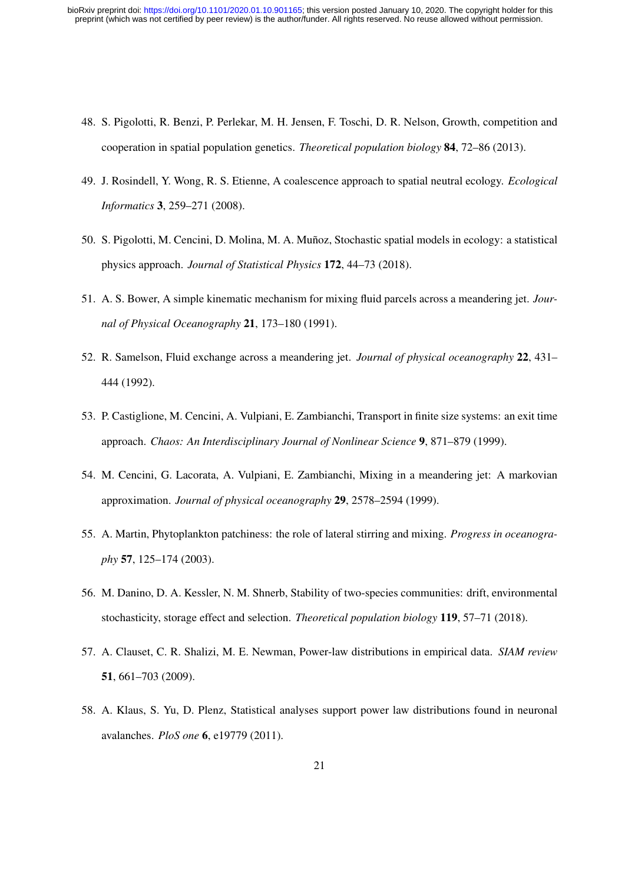- 48. S. Pigolotti, R. Benzi, P. Perlekar, M. H. Jensen, F. Toschi, D. R. Nelson, Growth, competition and cooperation in spatial population genetics. *Theoretical population biology* 84, 72–86 (2013).
- 49. J. Rosindell, Y. Wong, R. S. Etienne, A coalescence approach to spatial neutral ecology. *Ecological Informatics* 3, 259–271 (2008).
- 50. S. Pigolotti, M. Cencini, D. Molina, M. A. Munoz, Stochastic spatial models in ecology: a statistical ˜ physics approach. *Journal of Statistical Physics* 172, 44–73 (2018).
- 51. A. S. Bower, A simple kinematic mechanism for mixing fluid parcels across a meandering jet. *Journal of Physical Oceanography* 21, 173–180 (1991).
- 52. R. Samelson, Fluid exchange across a meandering jet. *Journal of physical oceanography* 22, 431– 444 (1992).
- 53. P. Castiglione, M. Cencini, A. Vulpiani, E. Zambianchi, Transport in finite size systems: an exit time approach. *Chaos: An Interdisciplinary Journal of Nonlinear Science* 9, 871–879 (1999).
- 54. M. Cencini, G. Lacorata, A. Vulpiani, E. Zambianchi, Mixing in a meandering jet: A markovian approximation. *Journal of physical oceanography* 29, 2578–2594 (1999).
- 55. A. Martin, Phytoplankton patchiness: the role of lateral stirring and mixing. *Progress in oceanography* 57, 125–174 (2003).
- 56. M. Danino, D. A. Kessler, N. M. Shnerb, Stability of two-species communities: drift, environmental stochasticity, storage effect and selection. *Theoretical population biology* 119, 57–71 (2018).
- 57. A. Clauset, C. R. Shalizi, M. E. Newman, Power-law distributions in empirical data. *SIAM review* 51, 661–703 (2009).
- 58. A. Klaus, S. Yu, D. Plenz, Statistical analyses support power law distributions found in neuronal avalanches. *PloS one* 6, e19779 (2011).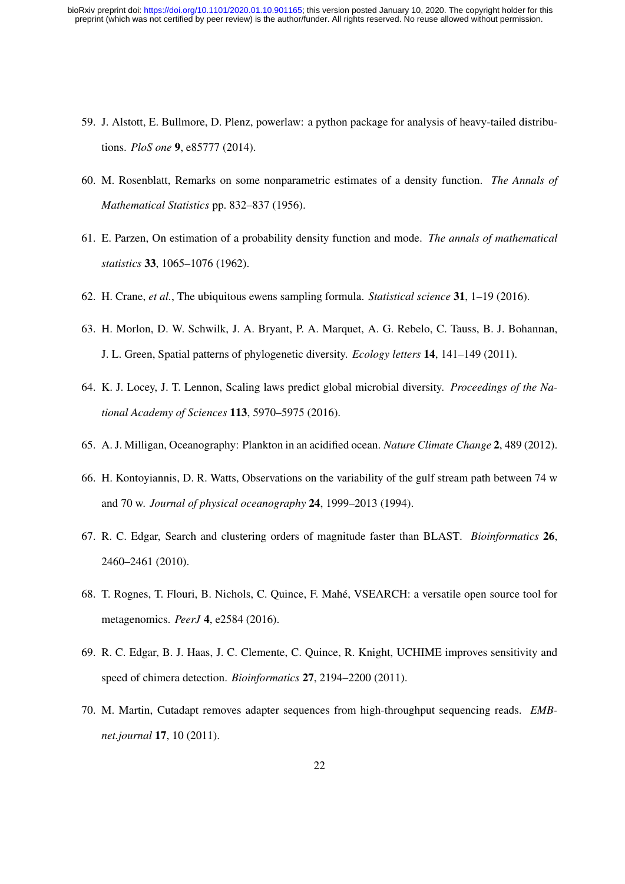- 59. J. Alstott, E. Bullmore, D. Plenz, powerlaw: a python package for analysis of heavy-tailed distributions. *PloS one* 9, e85777 (2014).
- 60. M. Rosenblatt, Remarks on some nonparametric estimates of a density function. *The Annals of Mathematical Statistics* pp. 832–837 (1956).
- 61. E. Parzen, On estimation of a probability density function and mode. *The annals of mathematical statistics* 33, 1065–1076 (1962).
- 62. H. Crane, *et al.*, The ubiquitous ewens sampling formula. *Statistical science* 31, 1–19 (2016).
- 63. H. Morlon, D. W. Schwilk, J. A. Bryant, P. A. Marquet, A. G. Rebelo, C. Tauss, B. J. Bohannan, J. L. Green, Spatial patterns of phylogenetic diversity. *Ecology letters* 14, 141–149 (2011).
- 64. K. J. Locey, J. T. Lennon, Scaling laws predict global microbial diversity. *Proceedings of the National Academy of Sciences* 113, 5970–5975 (2016).
- 65. A. J. Milligan, Oceanography: Plankton in an acidified ocean. *Nature Climate Change* 2, 489 (2012).
- 66. H. Kontoyiannis, D. R. Watts, Observations on the variability of the gulf stream path between 74 w and 70 w. *Journal of physical oceanography* 24, 1999–2013 (1994).
- 67. R. C. Edgar, Search and clustering orders of magnitude faster than BLAST. *Bioinformatics* 26, 2460–2461 (2010).
- 68. T. Rognes, T. Flouri, B. Nichols, C. Quince, F. Mahe, VSEARCH: a versatile open source tool for ´ metagenomics. *PeerJ* 4, e2584 (2016).
- 69. R. C. Edgar, B. J. Haas, J. C. Clemente, C. Quince, R. Knight, UCHIME improves sensitivity and speed of chimera detection. *Bioinformatics* 27, 2194–2200 (2011).
- 70. M. Martin, Cutadapt removes adapter sequences from high-throughput sequencing reads. *EMBnet.journal* 17, 10 (2011).